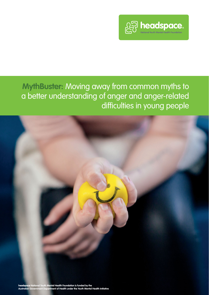

**MythBuster:** Moving away from common myths to a better understanding of anger and anger-related difficulties in young people

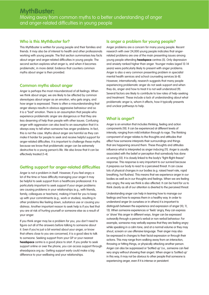### **Who is this MythBuster for?**

This MythBuster is written for young people and their families and friends. It may also be of interest to health and other professionals working with young people. The first section summarises key facts about anger and anger-related difficulties in young people. The second section explores what anger is, and when it becomes problematic, in more detail. Evidence that counters common myths about anger is then provided.

### **Common myths about anger**

Anger is perhaps the most misunderstood of all feelings. When we think about anger, we are likely to be affected by common stereotypes about anger as an emotion, who gets angry, and how anger is expressed. There is often a misunderstanding that anger always results in obvious aggressive behaviour and so it is a "bad" emotion. There is an assumption that people who experience problematic anger are dangerous or that they are less deserving of help than people with other issues. Confusing anger with aggression can also lead to an assumption that it is always easy to tell when someone has anger problems. In fact, this is not the case. Myths about anger are harmful as they can make it harder for people to seek and receive helpful support for anger-related difficulties. It is important to challenge these myths because we know that problematic anger can be extremely destructive to a young person's life. We also know that it can be effectively treated [1-4].

### **Getting support for anger-related difficulties**

Anger is not a problem in itself. However, if you feel angry a lot of the time or have difficulty managing your anger it may be helpful to seek support from a healthcare professional. It is particularly important to seek support if your anger problems are causing problems in your relationships (e.g., with friends, family, colleagues or teachers), making it hard for you to keep up with your commitments (e.g., work or studies), resulting in other problems like feeling down, substance use or causing you distress. Another important reason to seek help is if you feel that you are at risk of hurting yourself or someone else as a result of your anger.

If you think anger may be a problem for you, you don't need to figure out all of the answers before talking to someone about it. Even if you're just a bit worried about your anger, or know that others close to you are concerned, it is a good idea to talk to someone. Seeking support from your GP or your nearest **headspace** centre is a good place to start. If you prefer to seek support online or over the phone, you can access support through eheadspace.org.au. Getting support early could make a big difference to your wellbeing and your relationships.

### **Is anger a problem for young people?**

Anger problems are a concern for many young people. Recent research with over 24,000 young people indicates that angerrelated problems are one of the main presenting issues among young people attending **headspace** centres [5]. Only depression and anxiety ranked higher than anger. Younger males (aged 12-14 years) were particularly likely to present with anger problems. Anger is also a very common presenting problem in specialist mental health services and school counseling services [6-8]. However, internationally, research suggests that many people experiencing problematic anger do not seek support and when they do, anger and how to treat it is not well understood [9]. Several factors are likely to contribute to low rates of help-seeking and treatment. These include a lack of understanding about what problematic anger is, whom it affects, how it typically presents and unclear pathways to help.

# **What is anger?**

Anger is an emotion that includes thinking, feeling and action components [10]. It can be experienced at different levels of intensity, ranging from mild irritation through to rage. The thinking component of anger relates to the thoughts and attitudes that affect how someone interprets their surroundings and things that are happening around them. These thoughts and attitudes influence what is interpreted as anger inducing [11]. Anger is usually associated with the belief or perception that somebody has done us wrong [12]. It is closely linked to the body's "fight-flight-freeze" response. This response is very important to our survival because it prepares our body to react to a perceived threat. It can cause lots of physical changes in our bodies (e.g. raised heart rate, rapid breathing, hot flushes). This means that we experience anger in our bodies as well as in our thoughts and feelings. When we are feeling very angry, the way we think is also affected. It can be hard for us to think clearly as all of our attention is diverted to the perceived threat.

Understanding anger can help in learning how to manage our feelings and how to express them in a healthy way. In order to understand anger (in ourselves or in others) it is important to distinguish between the experience and expression of anger [10, 11, 13]. When someone experiences or 'feels' angry, they can express or 'show' this anger in different ways. Anger can be expressed outwardly through a person's verbal or non-verbal behaviour. For example, someone may verbally express that they are feeling angry while speaking in a calm tone, and at a normal volume or they may shout, scream or use offensive language. Their anger may also be expressed in changes to their facial expression or through their actions. This may range from walking away from an interaction, throwing or hitting things, or physically attacking another person. Anger can also be suppressed or 'bottled up' (i.e., someone can feel very angry without showing their anger). When anger is 'bottled up' in this way, it may not be obvious to other people that someone is experiencing anger, even if it is intense or persistent.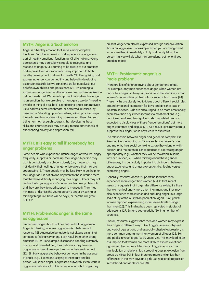### **MYTH: Anger is a 'bad' emotion**

Anger is a healthy emotion that serves many adaptive functions. Both the expression and experience of anger are part of healthy emotional functioning. Of all emotions, young adolescents may particularly struggle to recognise and respond to anger [20]. Learning to be aware of our emotions and express them appropriately is very important to both healthy development and mental health [21]. Recognising and expressing anger can be healthy and helpful in developing assertiveness skills (so we can stand up for ourselves), our belief in own abilities and persistence [21]. By learning to express our anger in a healthy way, we are much more likely to get our needs met. We can also prove to ourselves that anger is an emotion that we are able to manage so we don't need to avoid it or think of it as 'bad'. Experiencing anger can motivate us to address perceived threats, or perceived injustices, by asserting or 'standing up for' ourselves, taking practical steps toward a solution, or defending ourselves or others. Far from being harmful, research suggests that developing these skills and characteristics may actually reduce our chances of experiencing anxiety and depression [21].

### **MYTH: It is easy to tell if somebody has anger problems**

Some people who experience intense anger, or who feel angry frequently, suppress or 'bottle up' their anger. A person may do this consciously or sub-consciously (i.e., the person may not identify their feelings of anger or be aware that they are suppressing it). These people may be less likely to get help for their anger as it is not always apparent to those around them that they have difficulty managing their anger. Others may not realise that a young person's anger has become problematic and they are likely to need support to manage it. They may minimise or dismiss the young person's anger by saying or thinking things like 'boys will be boys', or 'he/she will grow out of it'.

# **MYTH: Problematic anger is the same as aggression**

Problematic anger should not be confused with aggression. Anger is a feeling, whereas aggression is a behavioural response [12]. Aggressive behaviour is not always a sign that someone is feeling very angry, it can result from other strong emotions [10-12]. For example, if someone is feeling extremely anxious and overwhelmed, their behaviour may become aggressive in trying to escape their immediate environment [22]. Similarly, aggressive behaviour can occur in the absence of anger [e.g., if someone is trying to intimidate another person; 23]. When anger is expressed outwardly, it can result in aggressive behaviour, but this is only one way that anger may

present. Anger can also be expressed through assertive action that is not aggressive. For example, when you are being asked to do something immediately, calmly and clearly telling the person that you will do what they are asking, but not until you are able to do it.

### **MYTH: Problematic anger is a 'male problem'**

There are lots of different myths about gender and anger. For example, only men experience anger; when women are angry their anger is always appropriate to the situation; or that women's anger is less problematic or serious than men's [24]. These myths are closely tied to ideas about different social rules around emotional expression for boys and girls that exist in Western societies. Girls are encouraged to be more emotionally expressive than boys when it comes to most emotions (e.g., happiness, sadness, fear, guilt and shame) while boys are expected to display less of these "tender emotions" but more anger, contempt and disgust [21]. As a result, girls may learn to suppress their anger, while boys learn to express it.

The relationship between anger and gender is complex. It is likely to differ depending on factors such as a person's age and maturity, their social context (e.g., are they alone or with peers?), and the potential consequences of expressing anger appropriately [e.g., whether they will be rewarded in some way or punished; 21]. When thinking about these gender differences, it is particularly important to distinguish between anger experience and anger expression (i.e., feeling versus expressing anger).

Generally, research doesn't support the idea that men experience more anger than women [25]. In fact, recent research suggests that if a gender difference exists, it is likely that women feel angry more often than men, and they may also experience more intense and enduring anger. In a largescale study of the Australian population (aged 16-65 years), women reported experiencing more severe levels of anger than men [26]. This finding has been replicated in studies of adolescents [27, 28] and young adults [29] in a number of countries.

Overall, research suggests that men and women may express their anger in different ways. Direct aggression (i.e. physical and verbal aggression), and especially physical aggression, is more common among men than women at all ages [25, 30] and peaks in youth [aged 18-30 years; 25]. This may lead to an assumption that women are more likely to express relational aggression [i.e., more subtle forms of aggression such as manipulation of relationships, spreading gossip, exclusion from group activities; 30]. In fact, there are more similarities than differences in the way boys and girls use relational aggression in childhood and adolescence [30].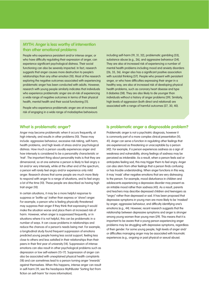### **MYTH: Anger is less worthy of intervention than other emotional problems**

People who experience persistent and/or intense anger, or who have difficulty regulating their expression of anger, can experience significant psychological distress. Their social functioning can also be severely impacted. In fact, research suggests that anger causes more destruction to people's relationships than any other emotion [10]. Most of the research exploring the negative outcomes associated with experiencing problematic anger has been conducted with adults. However, research with young people similarly indicates that individuals who experience problematic anger are at-risk of experiencing a wide range of negative outcomes in terms of their physical health, mental health and their social functioning [11].

People who experience problematic anger are at increased risk of engaging in a wide range of maladaptive behaviours including self-harm [19, 31, 32], problematic gambling [33], substance abuse [e.g., 26], and aggressive behaviour [34]. They are also at increased risk of experiencing a number of mental health problems including mood and anxiety disorders [26, 35, 36]. Anger also has a significant positive association with suicidal thinking [37]. People who present with persistent anger, or who have difficulties expressing their anger in a healthy way, are also at increased risk of developing physical health problems, such as coronary heart disease and type II diabetes [38]. They are also likely to die younger than individuals without a history of anger problems [39]. Similarly, high levels of aggression (both direct and relational) are associated with a range of harmful outcomes [27, 30, 40].

#### **What is problematic anger?**

Anger may become problematic when it occurs frequently, at high intensity, and results in other problems [10]. These may include: aggressive behaviour, excessive risk-taking, self-harm, health problems, and high levels of stress and/or psychological distress. How much a person usually experiences anger and how intensely is considered to be a personality characteristic or 'trait'. The important thing about personality traits is that they are dimensional, so at one extreme a person is likely to feel angry a lot and/or very intensely, while at the other end of the spectrum, a person will rarely feel angry and/or experience only mild anger. Research shows that some people are much more likely to respond with anger to a range of situations, and to feel angry a lot of the time [10]. These people are described as having high trait anger [10].

In certain situations, it may be a more helpful response to suppress or 'bottle-up' (rather than express or 'show') anger. For example, a person who is feeling physically threatened may suppress their anger if they think that expressing it would make the situation worse and place them at increased risk of harm. However, when anger is suppressed frequently, or in situations where it is not helpful, this can be problematic in a number of ways. It can cause problems in relationships and reduce the chances of a person's needs being met. For example, a longitudinal study found frequent suppression of emotions predicted young people having less social support, feeling less close to others and less satisfied in their relationships than their peers in their first year of university [14]. Suppression of intense emotions can also result in other psychological problems such as depression or low self-esteem [15-17]. Suppression of anger can also be associated with unexplained physical health complaints [18] and can sometimes lead to a person turning anger 'inwards' against themselves. When this happens, intense anger can result in self-harm [19; see the headspace MythBuster 'Sorting fact from fiction on self-harm' for more information].

#### **Is problematic anger a diagnosable problem?**

Problematic anger is not a psychiatric diagnosis, however it is commonly part of a more complex clinical presentation [10, 41]. Anger can serve a function in regulating other feelings that are experienced as threatening or unacceptable by a person [42]. For example, if a person experiences sadness as a sign of weakness and vulnerability, strong feelings of sadness may be perceived as intolerable. As a result, when a person feels sad or anticipates feeling sad, this may trigger them to feel angry. Anger can also stem from other feelings that a person finds confusing or has trouble understanding. When anger functions in this way, it may 'mask' other negative emotions that are very distressing to the person. For example, mood disturbance in children and adolescents experiencing a depressive disorder may present as an irritable mood rather than sadness [43]. As a result, parents and teachers may describe depressed children and teenagers as "angry" rather than depressed or sad. It has been proposed that depressive symptoms in young men are more likely to be 'masked' by anger, aggressive behaviour, and difficulty identifying one's emotions [e.g., 44]. However, recent research suggests that the relationship between depressive symptoms and anger is stronger among young women than young men [29]. This means that it is important to be aware that a young person experiencing anger problems may be struggling with depressive symptoms, regardless of their gender. For some young people, high levels of anger and/ or difficulties managing anger may be associated with traumatic experiences (e.g., ongoing or past physical or sexual abuse).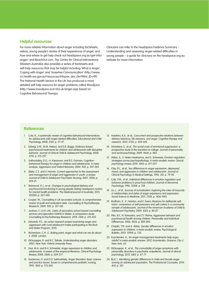### **Helpful resources**

For more reliable information about anger including factsheets, videos, young people's stories of their experiences of anger, and how and where to get help check out headspace.org.au/get-info/ anger/ and ReachOut.com. The Centre for Clinical Interventions (Western Australia) also provides a series of factsheets and self-help resources that may be helpful including 'What is Anger', 'Coping with Anger' and 'Assertive Communication' (http://www. cci.health.wa.gov.au/resources/infopax\_doc.cfm?Mini\_ID=49). The National Health Service in the UK has produced a more detailed self-help resource for anger problems called Moodjuice (http://www.moodjuice.scot.nhs.uk/anger.asp) based on Cognitive Behavioural Therapy.

Clinicians can refer to the headspace Evidence Summary - Understanding and assessing anger-related difficulties in young people – a guide for clinicians on the headspace.org.au website for more information.

#### **References**

- 1. Cole, R., A systematic review of cognitive-behavioural interventions for adolescents with anger-related difficulties. Educational and Child Psychology, 2008. 25(1): p. 27-47.
- 2. Eyberg, S.M., M.M. Nelson, and S.R. Boggs, Evidence-based psychosocial treatments for children and adolescents with disruptive behavior. Journal of Clinical Child & Adolescent Psychology, 2008. 37(1): p. 215-237.
- 3. Sukhodolsky, D.G., H. Kassinove, and B.S. Gorman, Cognitivebehavioral therapy for anger in children and adolescents: A metaanalysis. Aggression and Violent Behavior, 2004. 9(3): p. 247-269.
- 4. Blake, C.S. and V. Hamrin, Current approaches to the assessment and management of anger and aggression in youth: a review. Journal of Child & Adolescent Psychiatric Nursing, 2007. 20(4): p. 209-21.
- 5. Rickwood, D.J., et al., Changes in psychological distress and psychosocial functioning in young people visiting headspace centres for mental health problems. The Medical journal of Australia, 2015. 202(10): p. 537-542.
- 6. Cooper, M., Counselling in UK secondary schools: A comprehensive review of audit and evaluation data. Counselling & Psychotherapy Research, 2009. 9(3): p. 137-150.
- 7. Jackson, C.J.A.K.J.M., Users of secondary school-based counselling services and specialist CAMHS in Wales: A comparison study. Counselling & Psychotherapy Research, 2014. 14(4): p. 315-325.
- 8. Edwards, P.C., An action research project examining anger and aggression with rural adolescent males participating in the Rock and Water Program. 2013.
- 9. Richardson, C.H., E., Boiling point: anger and what can we do about it. 2008: London.
- 10. DiGiuseppe, R. and R.C. Tafrate, Understanding anger disorders. 2007, New York: Oxford University Press.
- 11. Kerr, M.A. and B.H. Schneider, Anger expression in children and adolescents: A review of the empirical literature. Clinical Psychology Review, 2008. 28(4): p. 559-577.
- 12. Kassinove, H. and D.G. Sukhodolsky, Anger disorders: Basic science and practice issues. Issues in comprehensive pediatric nursing, 1995. 18(3): p. 173-205.
- 13. Hawkins, K.A., et al., Concurrent and prospective relations between distress tolerance, life stressors, and anger. Cognitive therapy and research, 2013. 37(3): p. 434-445.
- 14. Srivastava, S., et al., The social costs of emotional suppression: a prospective study of the transition to college. Journal of personality and social psychology, 2009. 96(4): p. 883.
- 15. Aldao, A., S. Nolen-Hoeksema, and S. Schweizer, Emotion-regulation strategies across psychopathology: A meta-analytic review. Clinical psychology review, 2010. 30(2): p. 217-237.
- 16. Clay, D.L., et al., Sex differences in anger expression, depressed mood, and aggression in children and adolescents. Journal of Clinical Psychology in Medical Settings, 1996. 3(1): p. 79-92.
- 17. Cole, P.M., et al., Individual differences in emotion regulation and behavior problems in preschool children. Journal of Abnormal Psychology, 1996. 105(4): p. 518.
- 18. Liu, L., et al., Sources of somatization: Exploring the roles of insecurity in relationships and styles of anger experience and expression. Social Science & Medicine, 2011. 73(9): p. 1436-1443.
- 19. Rodham, K., K. Hawton, and E. Evans, Reasons for deliberate selfharm: comparison of self-poisoners and self-cutters in a community sample of adolescents. Journal of the American Academy of Child & Adolescent Psychiatry, 2004. 43(1): p. 80-87.
- 20. Piko, B.F., N. Keresztes, and Z.F. Pluhar, Aggressive behavior and psychosocial health among children. Personality and Individual Differences, 2006. 40(5): p. 885-895.
- 21. Chaplin, T.M. and A. Aldao, Gender differences in emotion expression in children: a meta-analytic review. Psychological Bulletin, 2013. 139(4): p. 735.
- 22. Kusmierska, G., Do anger management treatments help angry adults? a meta-analytic answer. 2012, Kusmierska, Grazyna: City U New York, US.
- 23. DiGiuseppe, R., et al., The comorbidity of anger symptoms with personality disorders in psychiatric outpatients. Journal of clinical psychology, 2012. 68(1): p. 67-77.
- 24. Burt, I., Identifying gender differences in male and female anger among an adolescent population. The Professional Counselor, 2014. 4(5): p. 531.